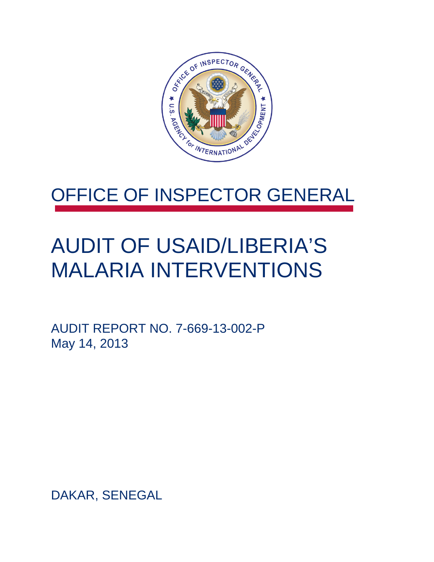

## OFFICE OF INSPECTOR GENERAL

## AUDIT OF USAID/LIBERIA'S MALARIA INTERVENTIONS

AUDIT REPORT NO. 7-669-13-002-P May 14, 2013

DAKAR, SENEGAL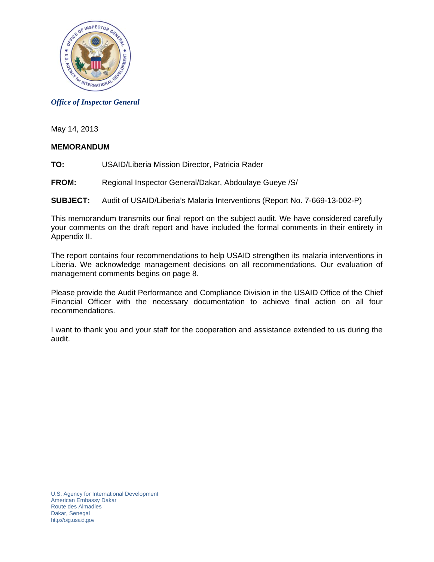

### *Office of Inspector General*

May 14, 2013

### **MEMORANDUM**

- **TO:** USAID/Liberia Mission Director, Patricia Rader
- **FROM:** Regional Inspector General/Dakar, Abdoulaye Gueye /S/

### **SUBJECT:** Audit of USAID/Liberia's Malaria Interventions (Report No. 7-669-13-002-P)

This memorandum transmits our final report on the subject audit. We have considered carefully your comments on the draft report and have included the formal comments in their entirety in Appendix II.

The report contains four recommendations to help USAID strengthen its malaria interventions in Liberia. We acknowledge management decisions on all recommendations. Our evaluation of management comments begins on page 8.

Please provide the Audit Performance and Compliance Division in the USAID Office of the Chief Financial Officer with the necessary documentation to achieve final action on all four recommendations.

I want to thank you and your staff for the cooperation and assistance extended to us during the audit.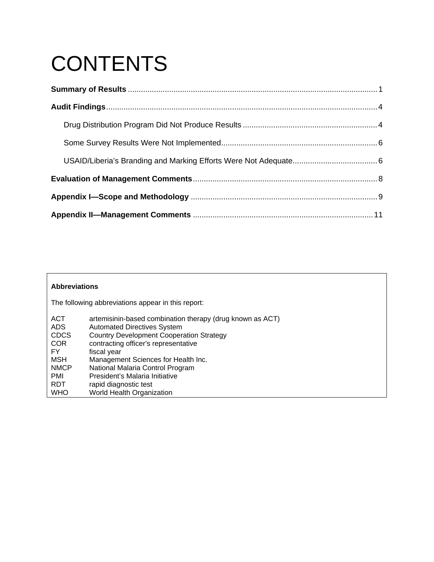# **CONTENTS**

### **Abbreviations**  The following abbreviations appear in this report: ACT artemisinin-based combination therapy (drug known as ACT)<br>ADS Automated Directives System Automated Directives System CDCS Country Development Cooperation Strategy<br>COR contracting officer's representative COR contracting officer's representative<br>FY fiscal year fiscal year MSH Management Sciences for Health Inc.<br>
NMCP National Malaria Control Program NMCP National Malaria Control Program<br>PMI President's Malaria Initiative President's Malaria Initiative RDT rapid diagnostic test<br>WHO World Health Organi: World Health Organization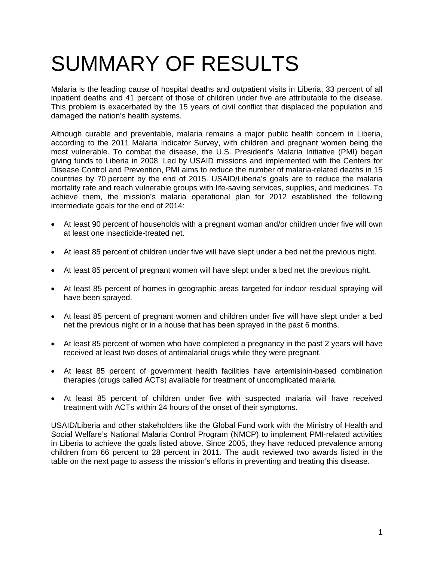# SUMMARY OF RESULTS

Malaria is the leading cause of hospital deaths and outpatient visits in Liberia; 33 percent of all inpatient deaths and 41 percent of those of children under five are attributable to the disease. This problem is exacerbated by the 15 years of civil conflict that displaced the population and damaged the nation's health systems.

Although curable and preventable, malaria remains a major public health concern in Liberia, according to the 2011 Malaria Indicator Survey, with children and pregnant women being the most vulnerable. To combat the disease, the U.S. President's Malaria Initiative (PMI) began giving funds to Liberia in 2008. Led by USAID missions and implemented with the Centers for Disease Control and Prevention, PMI aims to reduce the number of malaria-related deaths in 15 countries by 70 percent by the end of 2015. USAID/Liberia's goals are to reduce the malaria mortality rate and reach vulnerable groups with life-saving services, supplies, and medicines. To achieve them, the mission's malaria operational plan for 2012 established the following intermediate goals for the end of 2014:

- At least 90 percent of households with a pregnant woman and/or children under five will own at least one insecticide-treated net.
- At least 85 percent of children under five will have slept under a bed net the previous night.
- At least 85 percent of pregnant women will have slept under a bed net the previous night.
- At least 85 percent of homes in geographic areas targeted for indoor residual spraying will have been sprayed.
- At least 85 percent of pregnant women and children under five will have slept under a bed net the previous night or in a house that has been sprayed in the past 6 months.
- At least 85 percent of women who have completed a pregnancy in the past 2 years will have received at least two doses of antimalarial drugs while they were pregnant.
- At least 85 percent of government health facilities have artemisinin-based combination therapies (drugs called ACTs) available for treatment of uncomplicated malaria.
- At least 85 percent of children under five with suspected malaria will have received treatment with ACTs within 24 hours of the onset of their symptoms.

USAID/Liberia and other stakeholders like the Global Fund work with the Ministry of Health and Social Welfare's National Malaria Control Program (NMCP) to implement PMI-related activities in Liberia to achieve the goals listed above. Since 2005, they have reduced prevalence among children from 66 percent to 28 percent in 2011. The audit reviewed two awards listed in the table on the next page to assess the mission's efforts in preventing and treating this disease.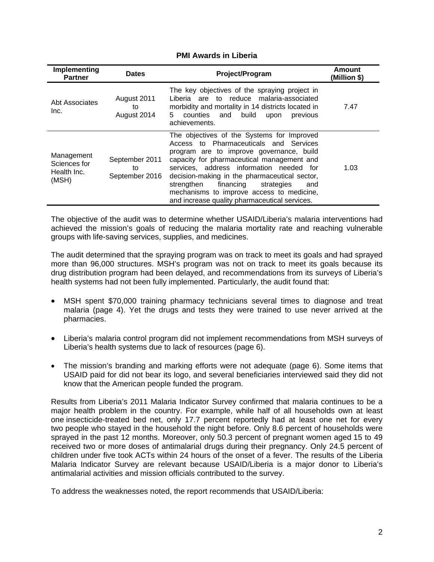### **PMI Awards in Liberia**

| Implementing<br><b>Partner</b>                     | <b>Dates</b>                           | Project/Program                                                                                                                                                                                                                                                                                                                                                                                                              | Amount<br>(Million \$) |
|----------------------------------------------------|----------------------------------------|------------------------------------------------------------------------------------------------------------------------------------------------------------------------------------------------------------------------------------------------------------------------------------------------------------------------------------------------------------------------------------------------------------------------------|------------------------|
| Abt Associates<br>Inc.                             | August 2011<br>to<br>August 2014       | The key objectives of the spraying project in<br>Liberia are to reduce malaria-associated<br>morbidity and mortality in 14 districts located in<br>and<br>5.<br>counties<br>build<br>previous<br>upon<br>achievements.                                                                                                                                                                                                       | 7.47                   |
| Management<br>Sciences for<br>Health Inc.<br>(MSH) | September 2011<br>to<br>September 2016 | The objectives of the Systems for Improved<br>Access to Pharmaceuticals and Services<br>program are to improve governance, build<br>capacity for pharmaceutical management and<br>services, address information needed<br>for<br>decision-making in the pharmaceutical sector,<br>strengthen<br>financing<br>strategies<br>and<br>mechanisms to improve access to medicine,<br>and increase quality pharmaceutical services. | 1.03                   |

groups with life-saving services, supplies, and medicines. The objective of the audit was to determine whether USAID/Liberia's malaria interventions had achieved the mission's goals of reducing the malaria mortality rate and reaching vulnerable

The audit determined that the spraying program was on track to meet its goals and had sprayed more than 96,000 structures. MSH's program was not on track to meet its goals because its drug distribution program had been delayed, and recommendations from its surveys of Liberia's health systems had not been fully implemented. Particularly, the audit found that:

- MSH spent \$70,000 training pharmacy technicians several times to diagnose and treat malaria (page 4). Yet the drugs and tests they were trained to use never arrived at the pharmacies.
- Liberia's malaria control program did not implement recommendations from MSH surveys of Liberia's health systems due to lack of resources (page 6).
- The mission's branding and marking efforts were not adequate (page 6). Some items that USAID paid for did not bear its logo, and several beneficiaries interviewed said they did not know that the American people funded the program.

Results from Liberia's 2011 Malaria Indicator Survey confirmed that malaria continues to be a major health problem in the country. For example, while half of all households own at least one insecticide-treated bed net, only 17.7 percent reportedly had at least one net for every two people who stayed in the household the night before. Only 8.6 percent of households were sprayed in the past 12 months. Moreover, only 50.3 percent of pregnant women aged 15 to 49 received two or more doses of antimalarial drugs during their pregnancy. Only 24.5 percent of children under five took ACTs within 24 hours of the onset of a fever. The results of the Liberia Malaria Indicator Survey are relevant because USAID/Liberia is a major donor to Liberia's antimalarial activities and mission officials contributed to the survey.

To address the weaknesses noted, the report recommends that USAID/Liberia: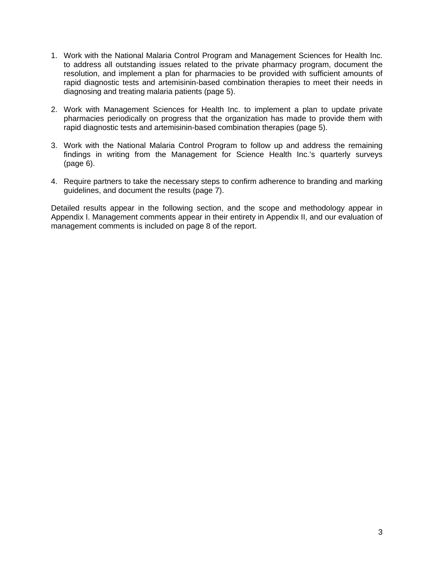- 1. Work with the National Malaria Control Program and Management Sciences for Health Inc. to address all outstanding issues related to the private pharmacy program, document the resolution, and implement a plan for pharmacies to be provided with sufficient amounts of rapid diagnostic tests and artemisinin-based combination therapies to meet their needs in diagnosing and treating malaria patients (page 5).
- 2. Work with Management Sciences for Health Inc. to implement a plan to update private pharmacies periodically on progress that the organization has made to provide them with rapid diagnostic tests and artemisinin-based combination therapies (page 5).
- 3. Work with the National Malaria Control Program to follow up and address the remaining findings in writing from the Management for Science Health Inc.'s quarterly surveys (page 6).
- 4. Require partners to take the necessary steps to confirm adherence to branding and marking guidelines, and document the results (page 7).

Detailed results appear in the following section, and the scope and methodology appear in Appendix I. Management comments appear in their entirety in Appendix II, and our evaluation of management comments is included on page 8 of the report.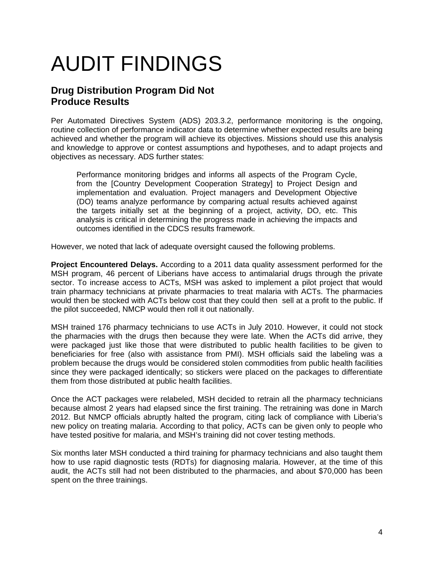# AUDIT FINDINGS

## **Drug Distribution Program Did Not Produce Results**

Per Automated Directives System (ADS) 203.3.2, performance monitoring is the ongoing, routine collection of performance indicator data to determine whether expected results are being achieved and whether the program will achieve its objectives. Missions should use this analysis and knowledge to approve or contest assumptions and hypotheses, and to adapt projects and objectives as necessary. ADS further states:

Performance monitoring bridges and informs all aspects of the Program Cycle, from the [Country Development Cooperation Strategy] to Project Design and implementation and evaluation. Project managers and Development Objective (DO) teams analyze performance by comparing actual results achieved against the targets initially set at the beginning of a project, activity, DO, etc. This analysis is critical in determining the progress made in achieving the impacts and outcomes identified in the CDCS results framework.

However, we noted that lack of adequate oversight caused the following problems.

**Project Encountered Delays.** According to a 2011 data quality assessment performed for the MSH program, 46 percent of Liberians have access to antimalarial drugs through the private sector. To increase access to ACTs, MSH was asked to implement a pilot project that would train pharmacy technicians at private pharmacies to treat malaria with ACTs. The pharmacies would then be stocked with ACTs below cost that they could then sell at a profit to the public. If the pilot succeeded, NMCP would then roll it out nationally.

MSH trained 176 pharmacy technicians to use ACTs in July 2010. However, it could not stock the pharmacies with the drugs then because they were late. When the ACTs did arrive, they were packaged just like those that were distributed to public health facilities to be given to beneficiaries for free (also with assistance from PMI). MSH officials said the labeling was a problem because the drugs would be considered stolen commodities from public health facilities since they were packaged identically; so stickers were placed on the packages to differentiate them from those distributed at public health facilities.

Once the ACT packages were relabeled, MSH decided to retrain all the pharmacy technicians because almost 2 years had elapsed since the first training. The retraining was done in March 2012. But NMCP officials abruptly halted the program, citing lack of compliance with Liberia's new policy on treating malaria. According to that policy, ACTs can be given only to people who have tested positive for malaria, and MSH's training did not cover testing methods.

Six months later MSH conducted a third training for pharmacy technicians and also taught them how to use rapid diagnostic tests (RDTs) for diagnosing malaria. However, at the time of this audit, the ACTs still had not been distributed to the pharmacies, and about \$70,000 has been spent on the three trainings.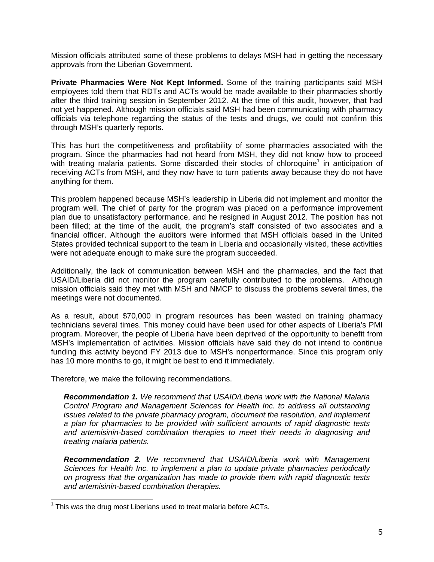Mission officials attributed some of these problems to delays MSH had in getting the necessary approvals from the Liberian Government.

**Private Pharmacies Were Not Kept Informed.** Some of the training participants said MSH employees told them that RDTs and ACTs would be made available to their pharmacies shortly after the third training session in September 2012. At the time of this audit, however, that had not yet happened. Although mission officials said MSH had been communicating with pharmacy officials via telephone regarding the status of the tests and drugs, we could not confirm this through MSH's quarterly reports.

This has hurt the competitiveness and profitability of some pharmacies associated with the program. Since the pharmacies had not heard from MSH, they did not know how to proceed with treating malaria patients. Some discarded their stocks of chloroquine<sup>1</sup> in anticipation of receiving ACTs from MSH, and they now have to turn patients away because they do not have anything for them.

This problem happened because MSH's leadership in Liberia did not implement and monitor the program well. The chief of party for the program was placed on a performance improvement plan due to unsatisfactory performance, and he resigned in August 2012. The position has not been filled; at the time of the audit, the program's staff consisted of two associates and a financial officer. Although the auditors were informed that MSH officials based in the United States provided technical support to the team in Liberia and occasionally visited, these activities were not adequate enough to make sure the program succeeded.

Additionally, the lack of communication between MSH and the pharmacies, and the fact that USAID/Liberia did not monitor the program carefully contributed to the problems. Although mission officials said they met with MSH and NMCP to discuss the problems several times, the meetings were not documented.

As a result, about \$70,000 in program resources has been wasted on training pharmacy technicians several times. This money could have been used for other aspects of Liberia's PMI program. Moreover, the people of Liberia have been deprived of the opportunity to benefit from MSH's implementation of activities. Mission officials have said they do not intend to continue funding this activity beyond FY 2013 due to MSH's nonperformance. Since this program only has 10 more months to go, it might be best to end it immediately.

Therefore, we make the following recommendations.

*Recommendation 1. We recommend that USAID/Liberia work with the National Malaria Control Program and Management Sciences for Health Inc. to address all outstanding issues related to the private pharmacy program, document the resolution, and implement a plan for pharmacies to be provided with sufficient amounts of rapid diagnostic tests and artemisinin-based combination therapies to meet their needs in diagnosing and treating malaria patients.* 

*Recommendation 2. We recommend that USAID/Liberia work with Management Sciences for Health Inc. to implement a plan to update private pharmacies periodically on progress that the organization has made to provide them with rapid diagnostic tests and artemisinin-based combination therapies.* 

 $1$  This was the drug most Liberians used to treat malaria before ACTs.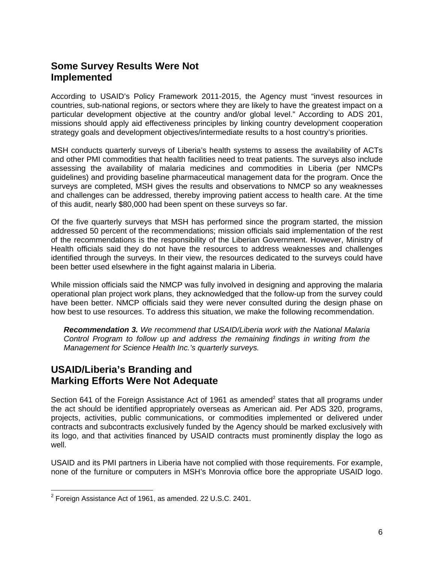## **Some Survey Results Were Not Implemented**

According to USAID's Policy Framework 2011-2015, the Agency must "invest resources in countries, sub-national regions, or sectors where they are likely to have the greatest impact on a particular development objective at the country and/or global level." According to ADS 201, missions should apply aid effectiveness principles by linking country development cooperation strategy goals and development objectives/intermediate results to a host country's priorities.

MSH conducts quarterly surveys of Liberia's health systems to assess the availability of ACTs and other PMI commodities that health facilities need to treat patients. The surveys also include assessing the availability of malaria medicines and commodities in Liberia (per NMCPs guidelines) and providing baseline pharmaceutical management data for the program. Once the surveys are completed, MSH gives the results and observations to NMCP so any weaknesses and challenges can be addressed, thereby improving patient access to health care. At the time of this audit, nearly \$80,000 had been spent on these surveys so far.

Of the five quarterly surveys that MSH has performed since the program started, the mission addressed 50 percent of the recommendations; mission officials said implementation of the rest of the recommendations is the responsibility of the Liberian Government. However, Ministry of Health officials said they do not have the resources to address weaknesses and challenges identified through the surveys. In their view, the resources dedicated to the surveys could have been better used elsewhere in the fight against malaria in Liberia.

While mission officials said the NMCP was fully involved in designing and approving the malaria operational plan project work plans, they acknowledged that the follow-up from the survey could have been better. NMCP officials said they were never consulted during the design phase on how best to use resources. To address this situation, we make the following recommendation.

*Recommendation 3. We recommend that USAID/Liberia work with the National Malaria Control Program to follow up and address the remaining findings in writing from the Management for Science Health Inc.'s quarterly surveys.* 

### **USAID/Liberia's Branding and Marking Efforts Were Not Adequate**

Section 641 of the Foreign Assistance Act of 1961 as amended<sup>2</sup> states that all programs under the act should be identified appropriately overseas as American aid. Per ADS 320, programs, projects, activities, public communications, or commodities implemented or delivered under contracts and subcontracts exclusively funded by the Agency should be marked exclusively with its logo, and that activities financed by USAID contracts must prominently display the logo as well.

USAID and its PMI partners in Liberia have not complied with those requirements. For example, none of the furniture or computers in MSH's Monrovia office bore the appropriate USAID logo.

-

 $2$  Foreign Assistance Act of 1961, as amended. 22 U.S.C. 2401.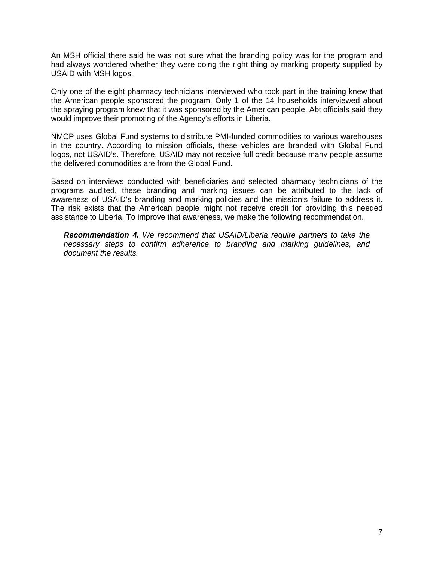An MSH official there said he was not sure what the branding policy was for the program and had always wondered whether they were doing the right thing by marking property supplied by USAID with MSH logos.

Only one of the eight pharmacy technicians interviewed who took part in the training knew that the American people sponsored the program. Only 1 of the 14 households interviewed about the spraying program knew that it was sponsored by the American people. Abt officials said they would improve their promoting of the Agency's efforts in Liberia.

NMCP uses Global Fund systems to distribute PMI-funded commodities to various warehouses in the country. According to mission officials, these vehicles are branded with Global Fund logos, not USAID's. Therefore, USAID may not receive full credit because many people assume the delivered commodities are from the Global Fund.

Based on interviews conducted with beneficiaries and selected pharmacy technicians of the programs audited, these branding and marking issues can be attributed to the lack of awareness of USAID's branding and marking policies and the mission's failure to address it. The risk exists that the American people might not receive credit for providing this needed assistance to Liberia. To improve that awareness, we make the following recommendation.

*Recommendation 4. We recommend that USAID/Liberia require partners to take the necessary steps to confirm adherence to branding and marking guidelines, and document the results.*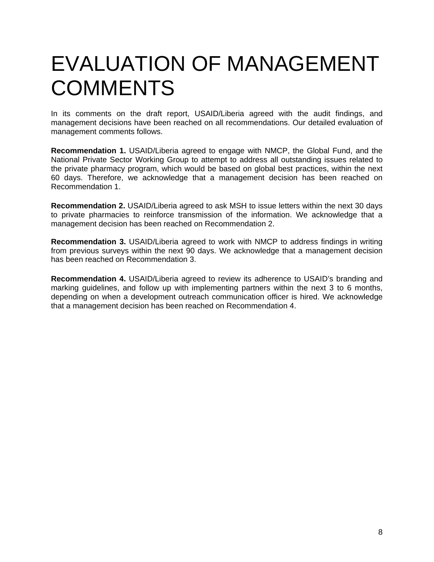## EVALUATION OF MANAGEMENT **COMMENTS**

In its comments on the draft report, USAID/Liberia agreed with the audit findings, and management decisions have been reached on all recommendations. Our detailed evaluation of management comments follows.

**Recommendation 1.** USAID/Liberia agreed to engage with NMCP, the Global Fund, and the National Private Sector Working Group to attempt to address all outstanding issues related to the private pharmacy program, which would be based on global best practices, within the next 60 days. Therefore, we acknowledge that a management decision has been reached on Recommendation 1.

**Recommendation 2.** USAID/Liberia agreed to ask MSH to issue letters within the next 30 days to private pharmacies to reinforce transmission of the information. We acknowledge that a management decision has been reached on Recommendation 2.

**Recommendation 3.** USAID/Liberia agreed to work with NMCP to address findings in writing from previous surveys within the next 90 days. We acknowledge that a management decision has been reached on Recommendation 3.

**Recommendation 4.** USAID/Liberia agreed to review its adherence to USAID's branding and marking guidelines, and follow up with implementing partners within the next 3 to 6 months, depending on when a development outreach communication officer is hired. We acknowledge that a management decision has been reached on Recommendation 4.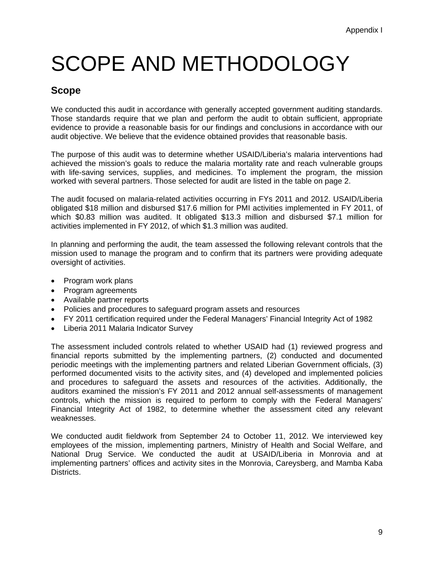# SCOPE AND METHODOLOGY

## **Scope**

We conducted this audit in accordance with generally accepted government auditing standards. Those standards require that we plan and perform the audit to obtain sufficient, appropriate evidence to provide a reasonable basis for our findings and conclusions in accordance with our audit objective. We believe that the evidence obtained provides that reasonable basis.

The purpose of this audit was to determine whether USAID/Liberia's malaria interventions had achieved the mission's goals to reduce the malaria mortality rate and reach vulnerable groups with life-saving services, supplies, and medicines. To implement the program, the mission worked with several partners. Those selected for audit are listed in the table on page 2.

The audit focused on malaria-related activities occurring in FYs 2011 and 2012. USAID/Liberia obligated \$18 million and disbursed \$17.6 million for PMI activities implemented in FY 2011, of which \$0.83 million was audited. It obligated \$13.3 million and disbursed \$7.1 million for activities implemented in FY 2012, of which \$1.3 million was audited.

In planning and performing the audit, the team assessed the following relevant controls that the mission used to manage the program and to confirm that its partners were providing adequate oversight of activities.

- Program work plans
- Program agreements
- Available partner reports
- Policies and procedures to safeguard program assets and resources
- FY 2011 certification required under the Federal Managers' Financial Integrity Act of 1982
- Liberia 2011 Malaria Indicator Survey

The assessment included controls related to whether USAID had (1) reviewed progress and financial reports submitted by the implementing partners, (2) conducted and documented periodic meetings with the implementing partners and related Liberian Government officials, (3) performed documented visits to the activity sites, and (4) developed and implemented policies and procedures to safeguard the assets and resources of the activities. Additionally, the auditors examined the mission's FY 2011 and 2012 annual self-assessments of management controls, which the mission is required to perform to comply with the Federal Managers' Financial Integrity Act of 1982, to determine whether the assessment cited any relevant weaknesses.

We conducted audit fieldwork from September 24 to October 11, 2012. We interviewed key employees of the mission, implementing partners, Ministry of Health and Social Welfare, and National Drug Service. We conducted the audit at USAID/Liberia in Monrovia and at implementing partners' offices and activity sites in the Monrovia, Careysberg, and Mamba Kaba Districts.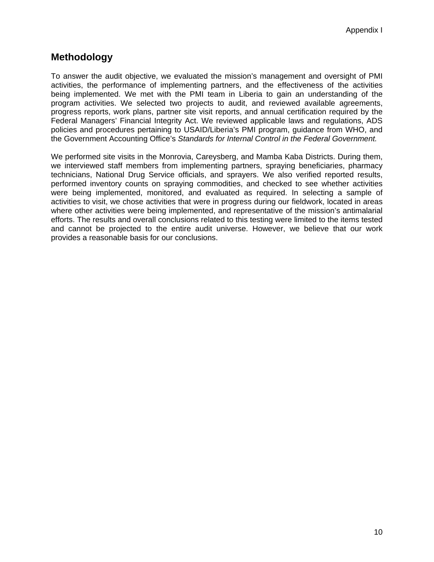### **Methodology**

To answer the audit objective, we evaluated the mission's management and oversight of PMI activities, the performance of implementing partners, and the effectiveness of the activities being implemented. We met with the PMI team in Liberia to gain an understanding of the program activities. We selected two projects to audit, and reviewed available agreements, progress reports, work plans, partner site visit reports, and annual certification required by the Federal Managers' Financial Integrity Act. We reviewed applicable laws and regulations, ADS policies and procedures pertaining to USAID/Liberia's PMI program, guidance from WHO, and the Government Accounting Office's *Standards for Internal Control in the Federal Government.* 

We performed site visits in the Monrovia, Careysberg, and Mamba Kaba Districts. During them, we interviewed staff members from implementing partners, spraying beneficiaries, pharmacy technicians, National Drug Service officials, and sprayers. We also verified reported results, performed inventory counts on spraying commodities, and checked to see whether activities were being implemented, monitored, and evaluated as required. In selecting a sample of activities to visit, we chose activities that were in progress during our fieldwork, located in areas where other activities were being implemented, and representative of the mission's antimalarial efforts. The results and overall conclusions related to this testing were limited to the items tested and cannot be projected to the entire audit universe. However, we believe that our work provides a reasonable basis for our conclusions.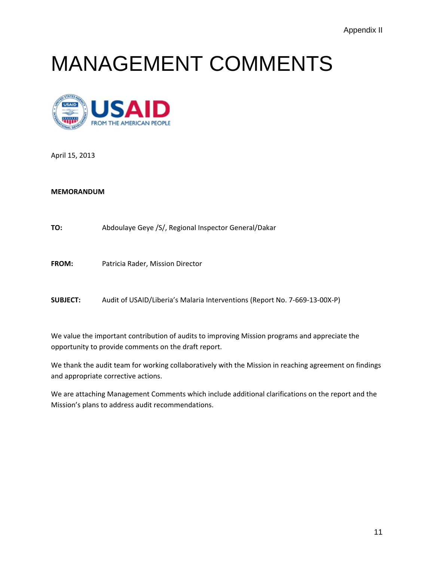## MANAGEMENT COMMENTS



April 15, 2013

#### **MEMORANDUM**

**TO:** Abdoulaye Geye /S/, Regional Inspector General/Dakar

**FROM:** Patricia Rader, Mission Director

**SUBJECT:** Audit of USAID/Liberia's Malaria Interventions (Report No. 7‐669‐13‐00X‐P)

 We value the important contribution of audits to improving Mission programs and appreciate the opportunity to provide comments on the draft report.

 We thank the audit team for working collaboratively with the Mission in reaching agreement on findings and appropriate corrective actions.

 We are attaching Management Comments which include additional clarifications on the report and the Mission's plans to address audit recommendations.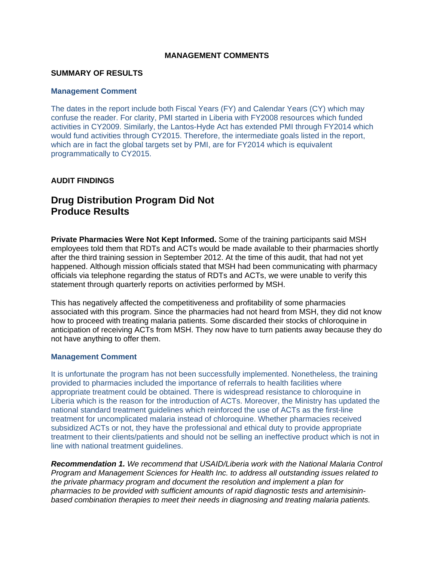### **MANAGEMENT COMMENTS**

### **SUMMARY OF RESULTS**

### **Management Comment**

The dates in the report include both Fiscal Years (FY) and Calendar Years (CY) which may confuse the reader. For clarity, PMI started in Liberia with FY2008 resources which funded activities in CY2009. Similarly, the Lantos-Hyde Act has extended PMI through FY2014 which would fund activities through CY2015. Therefore, the intermediate goals listed in the report, which are in fact the global targets set by PMI, are for FY2014 which is equivalent programmatically to CY2015.

### **AUDIT FINDINGS**

## **Drug Distribution Program Did Not Produce Results**

**Private Pharmacies Were Not Kept Informed.** Some of the training participants said MSH employees told them that RDTs and ACTs would be made available to their pharmacies shortly after the third training session in September 2012. At the time of this audit, that had not yet happened. Although mission officials stated that MSH had been communicating with pharmacy officials via telephone regarding the status of RDTs and ACTs, we were unable to verify this statement through quarterly reports on activities performed by MSH.

This has negatively affected the competitiveness and profitability of some pharmacies associated with this program. Since the pharmacies had not heard from MSH, they did not know how to proceed with treating malaria patients. Some discarded their stocks of chloroquine in anticipation of receiving ACTs from MSH. They now have to turn patients away because they do not have anything to offer them.

### **Management Comment**

It is unfortunate the program has not been successfully implemented. Nonetheless, the training provided to pharmacies included the importance of referrals to health facilities where appropriate treatment could be obtained. There is widespread resistance to chloroquine in Liberia which is the reason for the introduction of ACTs. Moreover, the Ministry has updated the national standard treatment guidelines which reinforced the use of ACTs as the first-line treatment for uncomplicated malaria instead of chloroquine. Whether pharmacies received subsidized ACTs or not, they have the professional and ethical duty to provide appropriate treatment to their clients/patients and should not be selling an ineffective product which is not in line with national treatment guidelines.

*Recommendation 1. We recommend that USAID/Liberia work with the National Malaria Control Program and Management Sciences for Health Inc. to address all outstanding issues related to the private pharmacy program and document the resolution and implement a plan for pharmacies to be provided with sufficient amounts of rapid diagnostic tests and artemisininbased combination therapies to meet their needs in diagnosing and treating malaria patients.*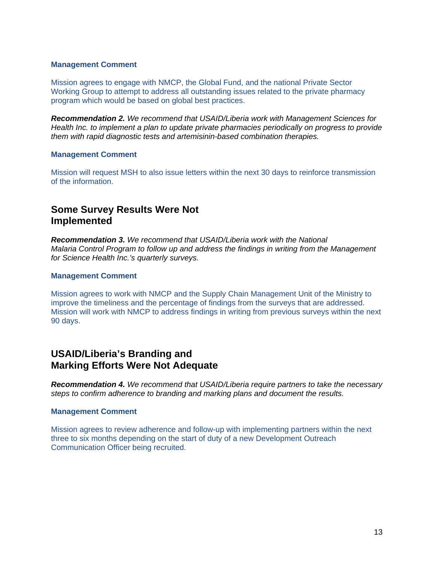### **Management Comment**

Mission agrees to engage with NMCP, the Global Fund, and the national Private Sector Working Group to attempt to address all outstanding issues related to the private pharmacy program which would be based on global best practices.

*Recommendation 2. We recommend that USAID/Liberia work with Management Sciences for Health Inc. to implement a plan to update private pharmacies periodically on progress to provide them with rapid diagnostic tests and artemisinin-based combination therapies.* 

### **Management Comment**

Mission will request MSH to also issue letters within the next 30 days to reinforce transmission of the information.

## **Some Survey Results Were Not Implemented**

*Recommendation 3. We recommend that USAID/Liberia work with the National Malaria Control Program to follow up and address the findings in writing from the Management for Science Health Inc.'s quarterly surveys.* 

### **Management Comment**

Mission agrees to work with NMCP and the Supply Chain Management Unit of the Ministry to improve the timeliness and the percentage of findings from the surveys that are addressed. Mission will work with NMCP to address findings in writing from previous surveys within the next 90 days.

### **USAID/Liberia's Branding and Marking Efforts Were Not Adequate**

*Recommendation 4. We recommend that USAID/Liberia require partners to take the necessary steps to confirm adherence to branding and marking plans and document the results.* 

### **Management Comment**

Mission agrees to review adherence and follow-up with implementing partners within the next three to six months depending on the start of duty of a new Development Outreach Communication Officer being recruited.